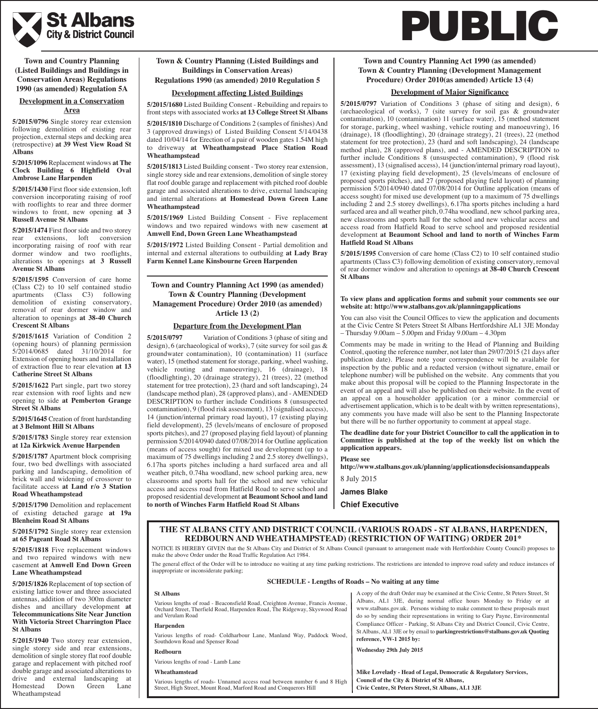

**Town and Country Planning (Listed Buildings and Buildings in Conservation Areas) Regulations 1990 (as amended) Regulation 5A**

## **Development in a Conservation Area**

**5/2015/0796** Single storey rear extension following demolition of existing rear projection, external steps and decking area (retrospective) **at 39 West View Road St Albans**

#### **5/2015/1096** Replacement windows **at The Clock Building 6 Highfield Oval Ambrose Lane Harpenden**

**5/2015/1430** First floor side extension, loft conversion incorporating raising of roof with rooflights to rear and three dormer windows to front, new opening **at 3 Russell Avenue St Albans**

**5/2015/1474** First floor side and two storey rear extensions, loft conversion incorporating raising of roof with rear dormer window and two rooflights, alterations to openings **at 3 Russell Avenue St Albans**

**5/2015/1595** Conversion of care home (Class C2) to 10 self contained studio apartments (Class C3) following demolition of existing conservatory, removal of rear dormer window and alteration to openings **at 38-40 Church Crescent St Albans**

**5/2015/1615** Variation of Condition 2 (opening hours) of planning permission 5/2014/0685 dated 31/10/2014 for Extension of opening hours and installation of extraction flue to rear elevation **at 13 Catherine Street St Albans**

**5/2015/1622** Part single, part two storey rear extension with roof lights and new opening to side **at Pemberton Grange Street St Albans**

**5/2015/1645** Creation of front hardstanding **at 3 Belmont Hill St Albans**

#### **5/2015/1783** Single storey rear extension **at 12a Kirkwick Avenue Harpenden**

**5/2015/1787** Apartment block comprising four, two bed dwellings with associated parking and landscaping, demolition of brick wall and widening of crossover to facilitate access **at Land r/o 3 Station Road Wheathampstead**

**5/2015/1790** Demolition and replacement of existing detached garage **at 19a Blenheim Road St Albans**

**5/2015/1792** Single storey rear extension **at 65 Pageant Road St Albans**

**5/2015/1818** Five replacement windows and two repaired windows with new casement **at Amwell End Down Green Lane Wheathampstead**

**5/2015/1826** Replacement of top section of existing lattice tower and three associated antennas, addition of two 300m diameter dishes and ancillary development **at Telecommunications Site Near Junction With Victoria Street Charrington Place St Albans**

**5/2015/1940** Two storey rear extension, single storey side and rear extensions, demolition of single storey flat roof double garage and replacement with pitched roof double garage and associated alterations to drive and external landscaping at<br>Homestead Down Green Lane Homestead Down Green Lane Wheathampstead

**Town & Country Planning (Listed Buildings and Buildings in Conservation Areas) Regulations 1990 (as amended) 2010 Regulation 5**

## **Development affecting Listed Buildings**

**5/2015/1680** Listed Building Consent - Rebuilding and repairs to front steps with associated works **at 13 College Street St Albans**

**5/2015/1810** Discharge of Conditions 2 (samples of finishes) And 3 (approved drawings) of Listed Building Consent 5/14/0438 dated 10/04/14 for Erection of a pair of wooden gates 1.54M high to driveway **at Wheathampstead Place Station Road Wheathampstead**

**5/2015/1813** Listed Building consent - Two storey rear extension, single storey side and rear extensions, demolition of single storey flat roof double garage and replacement with pitched roof double garage and associated alterations to drive, external landscaping and internal alterations **at Homestead Down Green Lane Wheathampstead**

**5/2015/1969** Listed Building Consent - Five replacement windows and two repaired windows with new casement **at Amwell End, Down Green Lane Wheathampstead**

**5/2015/1972** Listed Building Consent - Partial demolition and internal and external alterations to outbuilding **at Lady Bray Farm Kennel Lane Kinsbourne Green Harpenden**

# **Town and Country Planning Act 1990 (as amended) Town & Country Planning (Development Management Procedure) Order 2010 (as amended) Article 13 (2)**

#### **Departure from the Development Plan**

**5/2015/0797** Variation of Conditions 3 (phase of siting and design), 6 (archaeological of works), 7 (site survey for soil gas & groundwater contamination), 10 (contamination) 11 (surface water), 15 (method statement for storage, parking, wheel washing, vehicle routing and manoeuvring), 16 (drainage), 18 (floodlighting), 20 (drainage strategy), 21 (trees), 22 (method statement for tree protection), 23 (hard and soft landscaping), 24 (landscape method plan), 28 (approved plans), and - AMENDED DESCRIPTION to further include Conditions 8 (unsuspected contamination), 9 (flood risk assessment), 13 (signalised access), 14 (junction/internal primary road layout), 17 (existing playing field development), 25 (levels/means of enclosure of proposed sports pitches), and 27 (proposed playing field layout) of planning permission 5/2014/0940 dated 07/08/2014 for Outline application (means of access sought) for mixed use development (up to a maximum of 75 dwellings including 2 and 2.5 storey dwellings), 6.17ha sports pitches including a hard surfaced area and all weather pitch, 0.74ha woodland, new school parking area, new classrooms and sports hall for the school and new vehicular access and access road from Hatfield Road to serve school and proposed residential development **at Beaumont School and land to north of Winches Farm Hatfield Road St Albans**

# **Town and Country Planning Act 1990 (as amended) Town & Country Planning (Development Management Procedure) Order 2010(as amended) Article 13 (4)**

**PUBLIC**

## **Development of Major Significance**

**5/2015/0797** Variation of Conditions 3 (phase of siting and design), 6 (archaeological of works), 7 (site survey for soil gas & groundwater contamination), 10 (contamination) 11 (surface water), 15 (method statement for storage, parking, wheel washing, vehicle routing and manoeuvring), 16 (drainage), 18 (floodlighting), 20 (drainage strategy), 21 (trees), 22 (method statement for tree protection), 23 (hard and soft landscaping), 24 (landscape method plan), 28 (approved plans), and - AMENDED DESCRIPTION to further include Conditions 8 (unsuspected contamination), 9 (flood risk assessment), 13 (signalised access), 14 (junction/internal primary road layout), 17 (existing playing field development), 25 (levels/means of enclosure of proposed sports pitches), and 27 (proposed playing field layout) of planning permission 5/2014/0940 dated 07/08/2014 for Outline application (means of access sought) for mixed use development (up to a maximum of 75 dwellings including 2 and 2.5 storey dwellings), 6.17ha sports pitches including a hard surfaced area and all weather pitch, 0.74ha woodland, new school parking area, new classrooms and sports hall for the school and new vehicular access and access road from Hatfield Road to serve school and proposed residential development **at Beaumont School and land to north of Winches Farm Hatfield Road St Albans**

**5/2015/1595** Conversion of care home (Class C2) to 10 self contained studio apartments (Class C3) following demolition of existing conservatory, removal of rear dormer window and alteration to openings **at 38-40 Church Crescent St Albans**

#### **To view plans and application forms and submit your comments see our website at: http://www.stalbans.gov.uk/planningapplications**

You can also visit the Council Offices to view the application and documents at the Civic Centre St Peters Street St Albans Hertfordshire AL1 3JE Monday  $-$  Thursday 9.00am  $-$  5.00pm and Friday 9.00am  $-$  4.30pm

Comments may be made in writing to the Head of Planning and Building Control, quoting the reference number, not later than 29/07/2015 (21 days after publication date). Please note your correspondence will be available for inspection by the public and a redacted version (without signature, email or telephone number) will be published on the website. Any comments that you make about this proposal will be copied to the Planning Inspectorate in the event of an appeal and will also be published on their website. In the event of an appeal on a householder application (or a minor commercial or advertisement application, which is to be dealt with by written representations), any comments you have made will also be sent to the Planning Inspectorate but there will be no further opportunity to comment at appeal stage.

**The deadline date for your District Councillor to call the application in to Committee is published at the top of the weekly list on which the application appears.**

**Please see**

**http://www.stalbans.gov.uk/planning/applicationsdecisionsandappeals**

8 July 2015

## **James Blake**

**Chief Executive**

# **THE ST ALBANS CITY AND DISTRICT COUNCIL (VARIOUS ROADS - ST ALBANS, HARPENDEN, REDBOURN AND WHEATHAMPSTEAD) (RESTRICTION OF WAITING) ORDER 201\***

NOTICE IS HEREBY GIVEN that the St Albans City and District of St Albans Council (pursuant to arrangement made with Hertfordshire County Council) proposes to make the above Order under the Road Traffic Regulation Act 1984.

The general effect of the Order will be to introduce no waiting at any time parking restrictions. The restrictions are intended to improve road safety and reduce instances of inappropriate or inconsiderate parking;

#### **SCHEDULE - Lengths of Roads – No waiting at any time**

Various lengths of road - Beaconsfield Road, Creighton Avenue, Francis Avenue, Orchard Street, Therfield Road, Harpenden Road, The Ridgeway, Skyswood Road and Verulam Road

#### **Harpenden**

**St Albans**

Various lengths of road- Coldharbour Lane, Manland Way, Paddock Wood, Southdown Road and Spenser Road

**Redbourn**

# Various lengths of road - Lamb Lane

**Wheathamstead**

Various lengths of roads- Unnamed access road between number 6 and 8 High Street, High Street, Mount Road, Marford Road and Conquerors Hill

A copy of the draft Order may be examined at the Civic Centre, St Peters Street, St Albans, AL1 3JE, during normal office hours Monday to Friday or at www.stalbans.gov.uk. Persons wishing to make comment to these proposals must do so by sending their representations in writing to Gary Payne, Environmental Compliance Officer - Parking, St Albans City and District Council, Civic Centre, St Albans, AL1 3JE or by email to **parkingrestrictions@stalbans.gov.uk Quoting reference, VW-1 2015 by:**

**Wednesday 29th July 2015**

**Mike Lovelady - Head of Legal, Democratic & Regulatory Services, Council of the City & District of St Albans, Civic Centre, St Peters Street, St Albans, AL1 3JE**